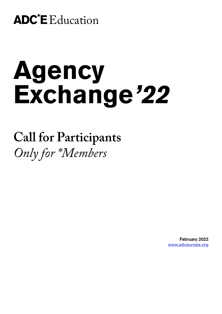## ADC'E Education

## Agency Exchange'22

## **Call for Participants** *Only for \*Members*

**February 2022 [www.adceurope.org](http://www.adceurope.org)**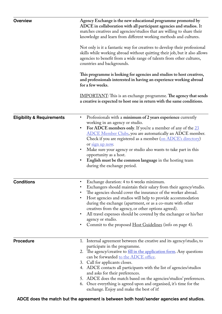| <b>Overview</b>                       | Agency Exchange is the new educational programme promoted by<br>ADCE in collaboration with all participant agencies and studios. It<br>matches creatives and agencies/studios that are willing to share their<br>knowledge and learn from different working methods and cultures.<br>Not only is it a fantastic way for creatives to develop their professional<br>skills while working abroad without quitting their job, but it also allows<br>agencies to benefit from a wide range of talents from other cultures,<br>countries and backgrounds.<br>This programme is looking for agencies and studios to host creatives,<br>and professionals interested in having an experience working abroad<br>for a few weeks.<br><b>IMPORTANT:</b> This is an exchange programme. The agency that sends<br>a creative is expected to host one in return with the same conditions. |
|---------------------------------------|------------------------------------------------------------------------------------------------------------------------------------------------------------------------------------------------------------------------------------------------------------------------------------------------------------------------------------------------------------------------------------------------------------------------------------------------------------------------------------------------------------------------------------------------------------------------------------------------------------------------------------------------------------------------------------------------------------------------------------------------------------------------------------------------------------------------------------------------------------------------------|
| <b>Eligibility &amp; Requirements</b> | Professionals with a minimum of 2 years experience currently<br>$\bullet$<br>working in an agency or studio.<br>For ADCE members only. If you're a member of any of the $23$<br>$\bullet$<br><b>ADCE Member Clubs, you are automatically an ADCE member.</b><br>Check if you are registered as a member (on ADCE's directory)<br>or sign up now.<br>Make sure your agency or studio also wants to take part in this<br>opportunity as a host.<br>English must be the common language in the hosting team<br>during the exchange period.                                                                                                                                                                                                                                                                                                                                      |
| <b>Conditions</b>                     | Exchange duration: 4 to 6 weeks minimum.<br>$\bullet$<br>Exchangers should maintain their salary from their agency/studio.<br>The agencies should cover the insurance of the worker abroad.<br>Host agencies and studios will help to provide accommodation<br>during the exchange (apartment, or as a co-mate with other<br>creatives from the agency, or other options agreed).<br>All travel expenses should be covered by the exchanger or his/her<br>agency or studio.<br>Commit to the proposed Host Guidelines (info on page 4).                                                                                                                                                                                                                                                                                                                                      |
| <b>Procedure</b>                      | 1. Internal agreement between the creative and its agency/studio, to<br>participate in the programme.<br>2. The agency/creative to <b>fill in the application form</b> . Any questions<br>can be forwarded to the ADCE office.<br>3. Call for applicants closes.<br>4. ADCE contacts all participants with the list of agencies/studios<br>and asks for their preferences.<br>5. ADCE does the match based on the agencies/studios' preferences.<br>Once everything is agreed upon and organised, it's time for the<br>6.<br>exchange. Enjoy and make the best of it!                                                                                                                                                                                                                                                                                                        |

**ADCE does the match but the agreement is between both host/sender agencies and studios.**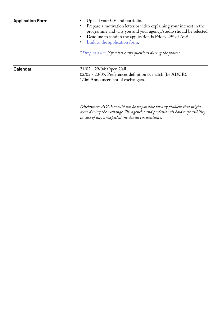- Upload your CV and portfolio.
- Prepare a motivation letter or video explaining your interest in the programme and why you and your agency/studio should be selected.
- Deadline to send in the application is Friday 29th of April.
- [Link to the application form](https://fadbcn.typeform.com/to/CGrz7Nqb).

*\* [Drop us a line](mailto:exchange%40adceurope.org?subject=) if you have any questions during the process.*

**Calendar**

21/02 - 29/04: Open Call. 02/05 - 20/05: Preferences definition & match (by ADCE). 1/06: Announcement of exchangers.

*Disclaimer: ADCE would not be responsible for any problem that might occur during the exchange. The agencies and professionals hold responsibility in case of any unexpected incidental circumstance.*